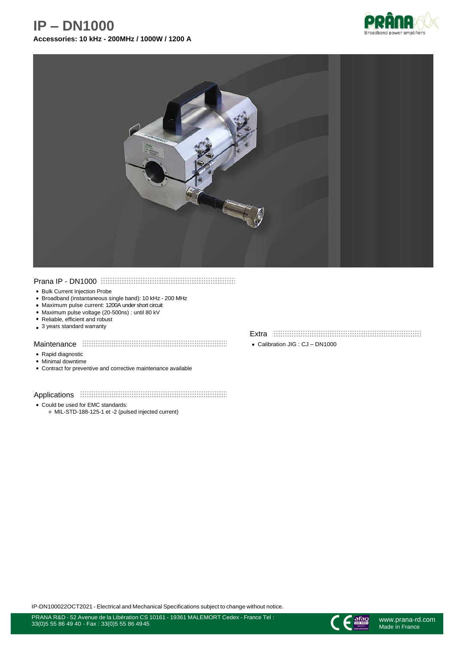# **IP – DN1000**







#### Prana IP - DN1000

- Bulk Current Injection Probe
- Broadband (instantaneous single band): 10 kHz 200 MHz
- Maximum pulse current: 1200A under short circuit
- Maximum pulse voltage (20-500ns) : until 80 kV
- Reliable, efficient and robust
- 3 years standard warranty

#### Maintenance **TECONOMIC CONSUMING THE MAIN**

- Rapid diagnostic
- Minimal downtime
- Contract for preventive and corrective maintenance available

#### Applications **EXECUTE:** Applications **Applications**

- Could be used for EMC standards:
	- MIL-STD-188-125-1 et -2 (pulsed injected current)

### Extra

Calibration JIG : CJ – DN1000